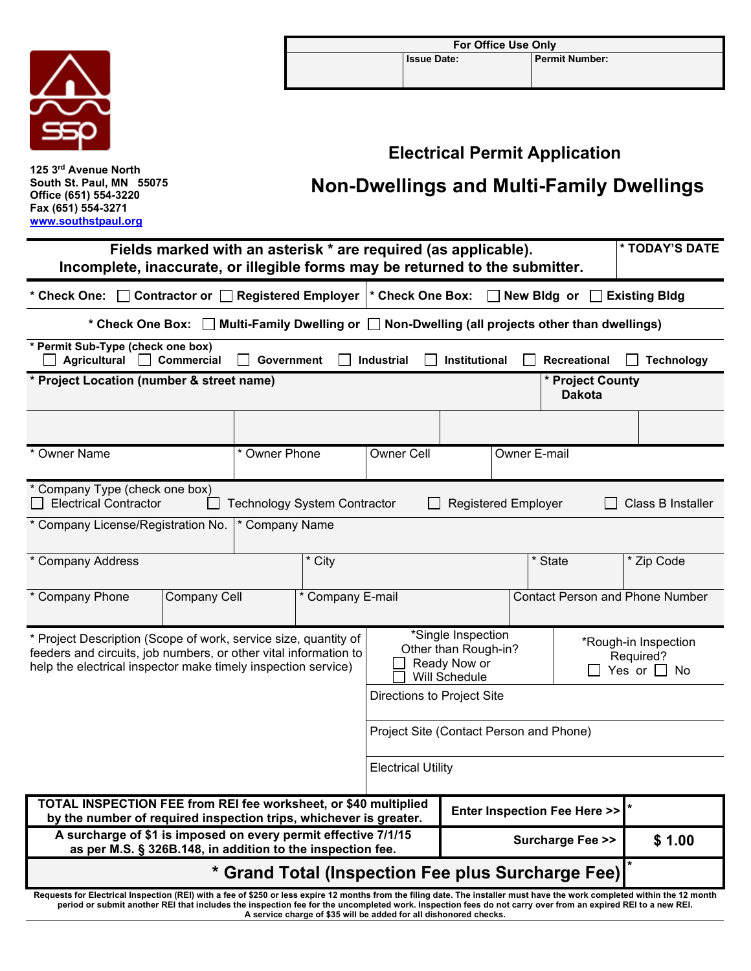

## **Electrical Permit Application**

**125 3rd Avenue North South St. Paul, MN 55075 Office (651) 554-3220 Fax (651) 554-3271 [www.southstpaul.org](http://www.southstpaul.org/)**

## **Non-Dwellings and Multi-Family Dwellings**

| Fields marked with an asterisk * are required (as applicable).<br>Incomplete, inaccurate, or illegible forms may be returned to the submitter.                                                                                                                                                                                            |  | * TODAY'S DATE |                  |                                                                                                                                             |                                           |                               |                                        |                      |  |
|-------------------------------------------------------------------------------------------------------------------------------------------------------------------------------------------------------------------------------------------------------------------------------------------------------------------------------------------|--|----------------|------------------|---------------------------------------------------------------------------------------------------------------------------------------------|-------------------------------------------|-------------------------------|----------------------------------------|----------------------|--|
| * Check One: Contractor or C Registered Employer  * Check One Box:<br>New Bldg or                                                                                                                                                                                                                                                         |  |                |                  |                                                                                                                                             |                                           |                               |                                        | <b>Existing Bldg</b> |  |
| Multi-Family Dwelling or □ Non-Dwelling (all projects other than dwellings)<br>* Check One Box:                                                                                                                                                                                                                                           |  |                |                  |                                                                                                                                             |                                           |                               |                                        |                      |  |
| * Permit Sub-Type (check one box)<br>Agricultural   Commercial<br>Government<br>Industrial<br>Institutional<br>Recreational<br><b>Technology</b>                                                                                                                                                                                          |  |                |                  |                                                                                                                                             |                                           |                               |                                        |                      |  |
| * Project Location (number & street name)<br>* Project County<br><b>Dakota</b>                                                                                                                                                                                                                                                            |  |                |                  |                                                                                                                                             |                                           |                               |                                        |                      |  |
|                                                                                                                                                                                                                                                                                                                                           |  |                |                  |                                                                                                                                             |                                           |                               |                                        |                      |  |
| * Owner Name                                                                                                                                                                                                                                                                                                                              |  | * Owner Phone  |                  | <b>Owner Cell</b>                                                                                                                           | Owner E-mail                              |                               |                                        |                      |  |
| * Company Type (check one box)<br><b>Electrical Contractor</b><br><b>Technology System Contractor</b><br><b>Registered Employer</b><br>Class B Installer                                                                                                                                                                                  |  |                |                  |                                                                                                                                             |                                           |                               |                                        |                      |  |
| * Company License/Registration No.                                                                                                                                                                                                                                                                                                        |  | * Company Name |                  |                                                                                                                                             |                                           |                               |                                        |                      |  |
| * Company Address                                                                                                                                                                                                                                                                                                                         |  | * City         |                  |                                                                                                                                             |                                           | $\overline{\mathbf{r}}$ State |                                        | * Zip Code           |  |
| * Company Phone<br><b>Company Cell</b>                                                                                                                                                                                                                                                                                                    |  |                | * Company E-mail |                                                                                                                                             |                                           |                               | <b>Contact Person and Phone Number</b> |                      |  |
| * Project Description (Scope of work, service size, quantity of<br>feeders and circuits, job numbers, or other vital information to<br>help the electrical inspector make timely inspection service)                                                                                                                                      |  |                |                  | *Single Inspection<br>*Rough-in Inspection<br>Other than Rough-in?<br>Required?<br>Ready Now or<br>Yes or $\Box$ No<br><b>Will Schedule</b> |                                           |                               |                                        |                      |  |
| Directions to Project Site                                                                                                                                                                                                                                                                                                                |  |                |                  |                                                                                                                                             |                                           |                               |                                        |                      |  |
|                                                                                                                                                                                                                                                                                                                                           |  |                |                  | Project Site (Contact Person and Phone)                                                                                                     |                                           |                               |                                        |                      |  |
| <b>Electrical Utility</b>                                                                                                                                                                                                                                                                                                                 |  |                |                  |                                                                                                                                             |                                           |                               |                                        |                      |  |
| TOTAL INSPECTION FEE from REI fee worksheet, or \$40 multiplied<br>by the number of required inspection trips, whichever is greater.                                                                                                                                                                                                      |  |                |                  |                                                                                                                                             | <b>Enter Inspection Fee Here &gt;&gt;</b> |                               |                                        |                      |  |
| A surcharge of \$1 is imposed on every permit effective 7/1/15<br>as per M.S. § 326B.148, in addition to the inspection fee.                                                                                                                                                                                                              |  |                |                  |                                                                                                                                             | \$1.00<br>Surcharge Fee >>                |                               |                                        |                      |  |
| * Grand Total (Inspection Fee plus Surcharge Fee)                                                                                                                                                                                                                                                                                         |  |                |                  |                                                                                                                                             |                                           |                               |                                        |                      |  |
| Requests for Electrical Inspection (REI) with a fee of \$250 or less expire 12 months from the filing date. The installer must have the work completed within the 12 month<br>period or submit another REI that includes the inspection fee for the uncompleted work. Inspection fees do not carry over from an expired REI to a new REI. |  |                |                  |                                                                                                                                             |                                           |                               |                                        |                      |  |

**A service charge of \$35 will be added for all dishonored checks.**